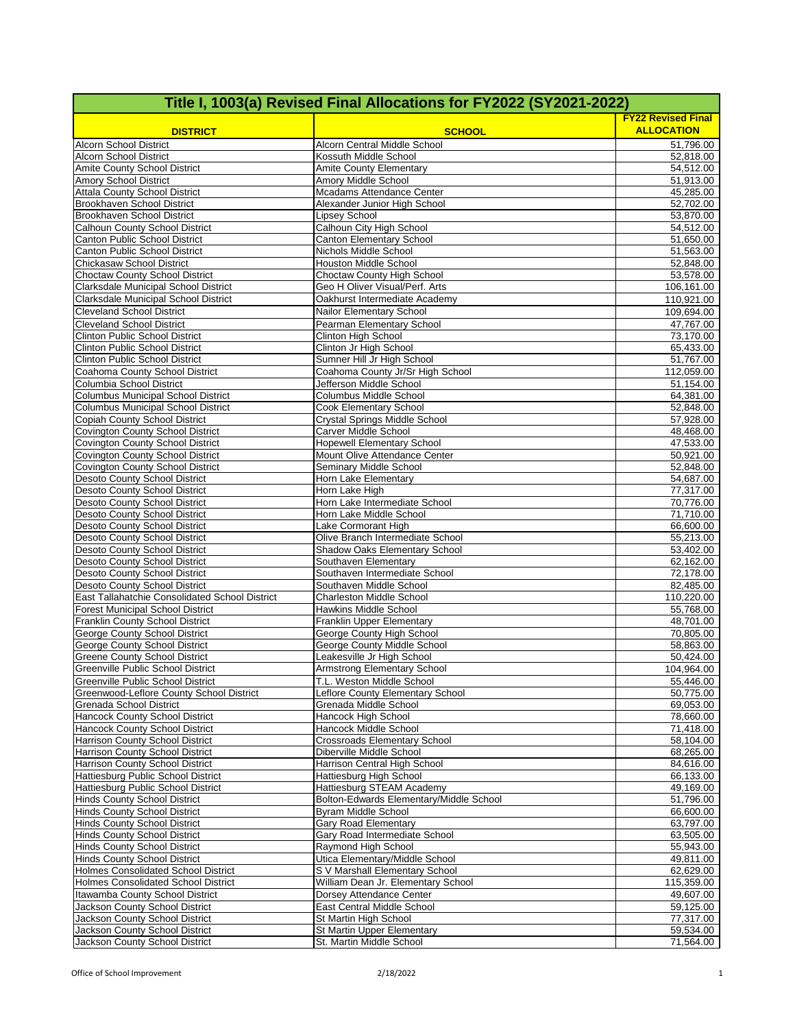| Title I, 1003(a) Revised Final Allocations for FY2022 (SY2021-2022)                    |                                                               |                                                |  |  |
|----------------------------------------------------------------------------------------|---------------------------------------------------------------|------------------------------------------------|--|--|
| <b>DISTRICT</b>                                                                        | <b>SCHOOL</b>                                                 | <b>FY22 Revised Final</b><br><b>ALLOCATION</b> |  |  |
| Alcorn School District                                                                 | Alcorn Central Middle School                                  | 51,796.00                                      |  |  |
| <b>Alcorn School District</b><br>Amite County School District                          | Kossuth Middle School<br>Amite County Elementary              | 52,818.00<br>54,512.00                         |  |  |
| Amory School District                                                                  | Amory Middle School                                           | 51,913.00                                      |  |  |
| <b>Attala County School District</b>                                                   | Mcadams Attendance Center                                     | 45,285.00                                      |  |  |
| <b>Brookhaven School District</b>                                                      | Alexander Junior High School                                  | 52,702.00                                      |  |  |
| <b>Brookhaven School District</b><br>Calhoun County School District                    | Lipsey School<br>Calhoun City High School                     | 53,870.00<br>54,512.00                         |  |  |
| Canton Public School District                                                          | <b>Canton Elementary School</b>                               | 51,650.00                                      |  |  |
| Canton Public School District                                                          | Nichols Middle School                                         | 51,563.00                                      |  |  |
| Chickasaw School District                                                              | <b>Houston Middle School</b>                                  | 52,848.00                                      |  |  |
| Choctaw County School District                                                         | <b>Choctaw County High School</b>                             | 53,578.00                                      |  |  |
| Clarksdale Municipal School District                                                   | Geo H Oliver Visual/Perf. Arts                                | 106,161.00                                     |  |  |
| Clarksdale Municipal School District<br><b>Cleveland School District</b>               | Oakhurst Intermediate Academy<br>Nailor Elementary School     | 110,921.00<br>109,694.00                       |  |  |
| <b>Cleveland School District</b>                                                       | Pearman Elementary School                                     | 47,767.00                                      |  |  |
| <b>Clinton Public School District</b>                                                  | Clinton High School                                           | 73,170.00                                      |  |  |
| <b>Clinton Public School District</b>                                                  | Clinton Jr High School                                        | 65,433.00                                      |  |  |
| <b>Clinton Public School District</b>                                                  | Sumner Hill Jr High School                                    | 51,767.00                                      |  |  |
| Coahoma County School District                                                         | Coahoma County Jr/Sr High School                              | 112,059.00                                     |  |  |
| Columbia School District                                                               | Jefferson Middle School                                       | 51,154.00                                      |  |  |
| <b>Columbus Municipal School District</b><br><b>Columbus Municipal School District</b> | Columbus Middle School<br>Cook Elementary School              | 64,381.00<br>52,848.00                         |  |  |
| Copiah County School District                                                          | <b>Crystal Springs Middle School</b>                          | 57,928.00                                      |  |  |
| <b>Covington County School District</b>                                                | Carver Middle School                                          | 48,468.00                                      |  |  |
| <b>Covington County School District</b>                                                | <b>Hopewell Elementary School</b>                             | 47,533.00                                      |  |  |
| Covington County School District                                                       | Mount Olive Attendance Center                                 | 50,921.00                                      |  |  |
| <b>Covington County School District</b>                                                | Seminary Middle School                                        | 52,848.00                                      |  |  |
| Desoto County School District<br>Desoto County School District                         | Horn Lake Elementary<br>Horn Lake High                        | 54,687.00<br>77,317.00                         |  |  |
| <b>Desoto County School District</b>                                                   | Horn Lake Intermediate School                                 | 70,776.00                                      |  |  |
| Desoto County School District                                                          | Horn Lake Middle School                                       | 71,710.00                                      |  |  |
| Desoto County School District                                                          | Lake Cormorant High                                           | 66,600.00                                      |  |  |
| Desoto County School District                                                          | Olive Branch Intermediate School                              | 55,213.00                                      |  |  |
| Desoto County School District<br>Desoto County School District                         | Shadow Oaks Elementary School<br>Southaven Elementary         | 53,402.00<br>62,162.00                         |  |  |
| Desoto County School District                                                          | Southaven Intermediate School                                 | 72,178.00                                      |  |  |
| Desoto County School District                                                          | Southaven Middle School                                       | 82,485.00                                      |  |  |
| East Tallahatchie Consolidated School District                                         | <b>Charleston Middle School</b>                               | 110,220.00                                     |  |  |
| <b>Forest Municipal School District</b>                                                | Hawkins Middle School                                         | 55,768.00                                      |  |  |
| Franklin County School District<br>George County School District                       | <b>Franklin Upper Elementary</b><br>George County High School | 48,701.00<br>70,805.00                         |  |  |
| George County School District                                                          | George County Middle School                                   | 58,863.00                                      |  |  |
| <b>Greene County School District</b>                                                   | Leakesville Jr High School                                    | 50,424.00                                      |  |  |
| Greenville Public School District                                                      | <b>Armstrong Elementary School</b>                            | 104,964.00                                     |  |  |
| Greenville Public School District                                                      | T.L. Weston Middle School                                     | 55,446.00                                      |  |  |
| Greenwood-Leflore County School District<br>Grenada School District                    | Leflore County Elementary School<br>Grenada Middle School     | 50,775.00<br>69,053.00                         |  |  |
| Hancock County School District                                                         | Hancock High School                                           | 78,660.00                                      |  |  |
| Hancock County School District                                                         | Hancock Middle School                                         | 71,418.00                                      |  |  |
| <b>Harrison County School District</b>                                                 | <b>Crossroads Elementary School</b>                           | 58,104.00                                      |  |  |
| Harrison County School District                                                        | Diberville Middle School                                      | 68,265.00                                      |  |  |
| Harrison County School District                                                        | Harrison Central High School                                  | 84,616.00                                      |  |  |
| Hattiesburg Public School District<br>Hattiesburg Public School District               | Hattiesburg High School<br>Hattiesburg STEAM Academy          | 66,133.00<br>49,169.00                         |  |  |
| <b>Hinds County School District</b>                                                    | Bolton-Edwards Elementary/Middle School                       | 51,796.00                                      |  |  |
| <b>Hinds County School District</b>                                                    | <b>Byram Middle School</b>                                    | 66,600.00                                      |  |  |
| <b>Hinds County School District</b>                                                    | <b>Gary Road Elementary</b>                                   | 63,797.00                                      |  |  |
| <b>Hinds County School District</b>                                                    | Gary Road Intermediate School                                 | 63,505.00                                      |  |  |
| <b>Hinds County School District</b>                                                    | Raymond High School<br>Utica Elementary/Middle School         | 55,943.00<br>49,811.00                         |  |  |
| <b>Hinds County School District</b><br><b>Holmes Consolidated School District</b>      | S V Marshall Elementary School                                | 62,629.00                                      |  |  |
| Holmes Consolidated School District                                                    | William Dean Jr. Elementary School                            | 115,359.00                                     |  |  |
| Itawamba County School District                                                        | Dorsey Attendance Center                                      | 49,607.00                                      |  |  |
| Jackson County School District                                                         | East Central Middle School                                    | 59,125.00                                      |  |  |
| Jackson County School District                                                         | St Martin High School                                         | 77,317.00                                      |  |  |
| Jackson County School District<br>Jackson County School District                       | St Martin Upper Elementary<br>St. Martin Middle School        | 59,534.00<br>71,564.00                         |  |  |
|                                                                                        |                                                               |                                                |  |  |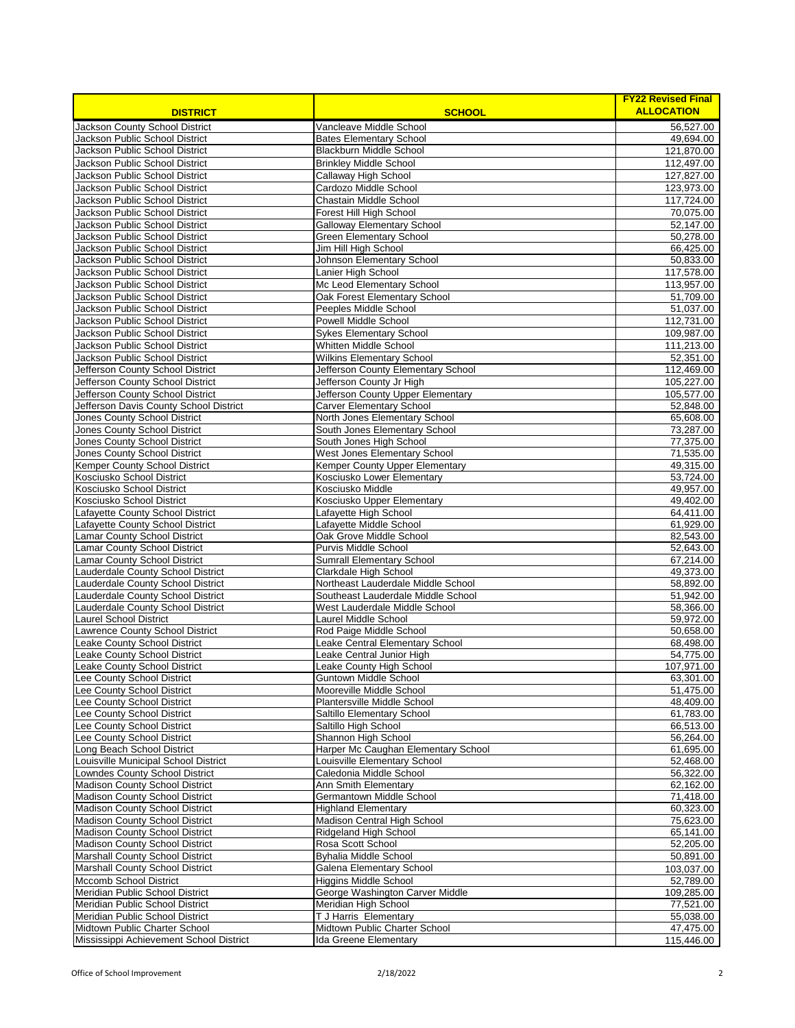| <b>DISTRICT</b>                                                        | <b>SCHOOL</b>                                                            | <b>FY22 Revised Final</b><br><b>ALLOCATION</b> |
|------------------------------------------------------------------------|--------------------------------------------------------------------------|------------------------------------------------|
| Jackson County School District                                         | Vancleave Middle School                                                  | 56,527.00                                      |
| Jackson Public School District                                         | <b>Bates Elementary School</b>                                           | 49.694.00                                      |
| Jackson Public School District                                         | <b>Blackburn Middle School</b>                                           | 121,870.00                                     |
| Jackson Public School District                                         | <b>Brinkley Middle School</b>                                            | 112,497.00                                     |
| Jackson Public School District                                         | Callaway High School                                                     | 127,827.00                                     |
| Jackson Public School District                                         | Cardozo Middle School                                                    | 123,973.00                                     |
| Jackson Public School District                                         | Chastain Middle School                                                   | 117,724.00                                     |
| Jackson Public School District                                         | <b>Forest Hill High School</b>                                           | 70,075.00                                      |
| Jackson Public School District                                         | <b>Galloway Elementary School</b>                                        | 52.147.00                                      |
| Jackson Public School District                                         | <b>Green Elementary School</b>                                           | 50.278.00                                      |
| Jackson Public School District                                         | Jim Hill High School                                                     | 66,425.00                                      |
| Jackson Public School District                                         | Johnson Elementary School                                                | 50,833.00                                      |
| Jackson Public School District                                         | Lanier High School                                                       | 117,578.00                                     |
| Jackson Public School District                                         | Mc Leod Elementary School                                                | 113,957.00                                     |
| Jackson Public School District                                         | Oak Forest Elementary School                                             | 51,709.00                                      |
| Jackson Public School District                                         | Peeples Middle School                                                    | 51,037.00                                      |
| Jackson Public School District                                         | Powell Middle School                                                     | 112,731.00                                     |
| Jackson Public School District                                         | <b>Sykes Elementary School</b>                                           | 109,987.00                                     |
| Jackson Public School District                                         | <b>Whitten Middle School</b>                                             | 111,213.00                                     |
| Jackson Public School District                                         | <b>Wilkins Elementary School</b>                                         | 52,351.00                                      |
| Jefferson County School District                                       | Jefferson County Elementary School                                       | 112,469.00                                     |
| Jefferson County School District<br>Jefferson County School District   | Jefferson County Jr High<br>Jefferson County Upper Elementary            | 105,227.00<br>105,577.00                       |
| Jefferson Davis County School District                                 | <b>Carver Elementary School</b>                                          | 52,848.00                                      |
| Jones County School District                                           | North Jones Elementary School                                            | 65,608.00                                      |
| Jones County School District                                           | South Jones Elementary School                                            | 73,287.00                                      |
| Jones County School District                                           | South Jones High School                                                  | 77,375.00                                      |
| <b>Jones County School District</b>                                    | West Jones Elementary School                                             | 71,535.00                                      |
| Kemper County School District                                          | <b>Kemper County Upper Elementary</b>                                    | 49,315.00                                      |
| Kosciusko School District                                              | Kosciusko Lower Elementary                                               | 53,724.00                                      |
| Kosciusko School District                                              | Kosciusko Middle                                                         | 49,957.00                                      |
| Kosciusko School District                                              | Kosciusko Upper Elementary                                               | 49,402.00                                      |
| Lafayette County School District                                       | Lafayette High School                                                    | 64,411.00                                      |
| Lafayette County School District                                       | Lafayette Middle School                                                  | 61,929.00                                      |
| Lamar County School District                                           | Oak Grove Middle School                                                  | 82,543.00                                      |
| Lamar County School District                                           | Purvis Middle School                                                     | 52,643.00                                      |
| Lamar County School District                                           | Sumrall Elementary School                                                | 67,214.00                                      |
| Lauderdale County School District                                      | Clarkdale High School                                                    | 49,373.00                                      |
| Lauderdale County School District<br>Lauderdale County School District | Northeast Lauderdale Middle School<br>Southeast Lauderdale Middle School | 58,892.00<br>51,942.00                         |
| Lauderdale County School District                                      | West Lauderdale Middle School                                            | 58,366.00                                      |
| Laurel School District                                                 | Laurel Middle School                                                     | 59,972.00                                      |
| Lawrence County School District                                        | Rod Paige Middle School                                                  | 50,658.00                                      |
| Leake County School District                                           | Leake Central Elementary School                                          | 68,498.00                                      |
| Leake County School District                                           | Leake Central Junior High                                                | 54,775.00                                      |
| Leake County School District                                           | Leake County High School                                                 | 107,971.00                                     |
| Lee County School District                                             | Guntown Middle School                                                    | 63,301.00                                      |
| Lee County School District                                             | Mooreville Middle School                                                 | 51,475.00                                      |
| Lee County School District                                             | Plantersville Middle School                                              | 48,409.00                                      |
| Lee County School District                                             | Saltillo Elementary School                                               | 61,783.00                                      |
| Lee County School District                                             | Saltillo High School                                                     | 66,513.00                                      |
| Lee County School District                                             | Shannon High School                                                      | 56,264.00                                      |
| Long Beach School District                                             | Harper Mc Caughan Elementary School                                      | 61,695.00                                      |
| Louisville Municipal School District                                   | Louisville Elementary School                                             | 52,468.00                                      |
| Lowndes County School District                                         | Caledonia Middle School                                                  | 56,322.00                                      |
| Madison County School District<br>Madison County School District       | Ann Smith Elementary<br>Germantown Middle School                         | 62,162.00<br>71,418.00                         |
| Madison County School District                                         | <b>Highland Elementary</b>                                               | 60,323.00                                      |
| Madison County School District                                         | Madison Central High School                                              | 75,623.00                                      |
| Madison County School District                                         | Ridgeland High School                                                    | 65,141.00                                      |
| Madison County School District                                         | Rosa Scott School                                                        | 52,205.00                                      |
| Marshall County School District                                        | <b>Byhalia Middle School</b>                                             | 50,891.00                                      |
| Marshall County School District                                        | Galena Elementary School                                                 | 103,037.00                                     |
| <b>Mccomb School District</b>                                          | <b>Higgins Middle School</b>                                             | 52,789.00                                      |
| Meridian Public School District                                        | George Washington Carver Middle                                          | 109,285.00                                     |
| Meridian Public School District                                        | Meridian High School                                                     | 77,521.00                                      |
| Meridian Public School District                                        | T J Harris Elementary                                                    | 55,038.00                                      |
| Midtown Public Charter School                                          | Midtown Public Charter School                                            | 47,475.00                                      |
| Mississippi Achievement School District                                | Ida Greene Elementary                                                    | 115,446.00                                     |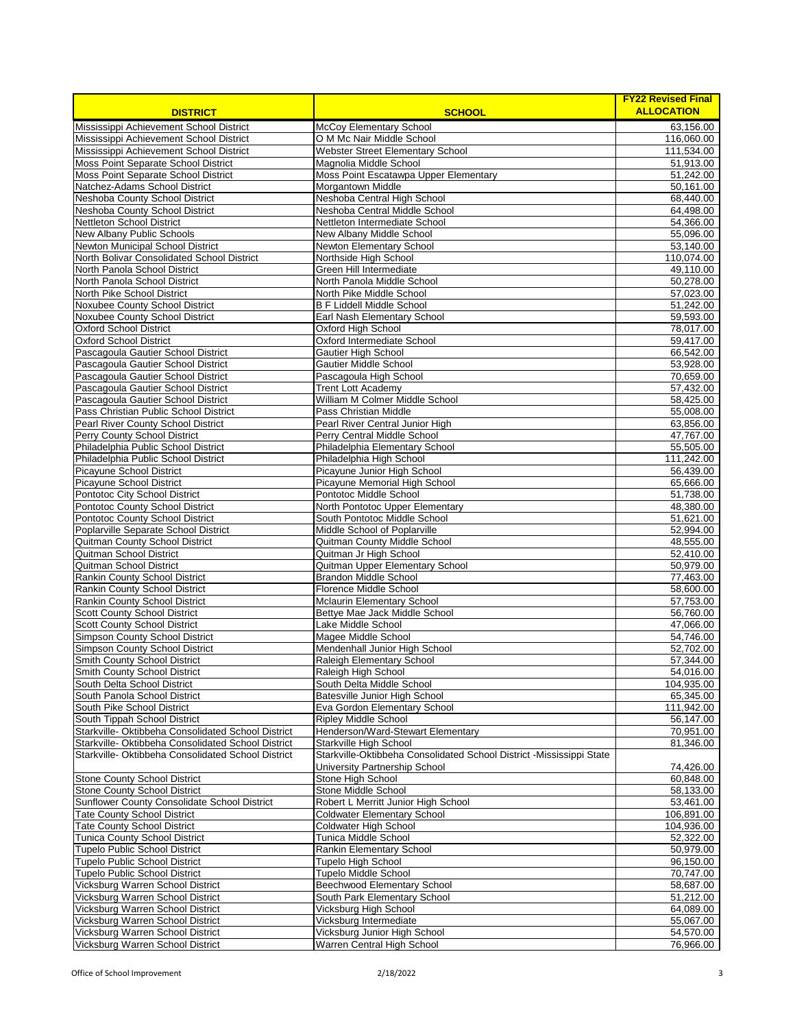| <b>DISTRICT</b>                                                                                          | <b>SCHOOL</b>                                                                                  | <b>FY22 Revised Final</b><br><b>ALLOCATION</b> |
|----------------------------------------------------------------------------------------------------------|------------------------------------------------------------------------------------------------|------------------------------------------------|
| Mississippi Achievement School District                                                                  | <b>McCoy Elementary School</b>                                                                 | 63,156.00                                      |
| Mississippi Achievement School District                                                                  | O M Mc Nair Middle School                                                                      | 116,060.00                                     |
| Mississippi Achievement School District                                                                  | Webster Street Elementary School                                                               | 111,534.00                                     |
| Moss Point Separate School District                                                                      | Magnolia Middle School                                                                         | 51,913.00                                      |
| Moss Point Separate School District<br>Natchez-Adams School District                                     | Moss Point Escatawpa Upper Elementary<br>Morgantown Middle                                     | 51,242.00<br>50,161.00                         |
| Neshoba County School District                                                                           | Neshoba Central High School                                                                    | 68,440.00                                      |
| Neshoba County School District                                                                           | Neshoba Central Middle School                                                                  | 64,498.00                                      |
| Nettleton School District                                                                                | Nettleton Intermediate School                                                                  | 54,366.00                                      |
| <b>New Albany Public Schools</b>                                                                         | New Albany Middle School                                                                       | 55,096.00                                      |
| Newton Municipal School District                                                                         | Newton Elementary School                                                                       | 53,140.00                                      |
| North Bolivar Consolidated School District                                                               | Northside High School                                                                          | 110,074.00                                     |
| North Panola School District<br>North Panola School District                                             | Green Hill Intermediate<br>North Panola Middle School                                          | 49,110.00<br>50,278.00                         |
| North Pike School District                                                                               | North Pike Middle School                                                                       | 57,023.00                                      |
| Noxubee County School District                                                                           | <b>B F Liddell Middle School</b>                                                               | 51,242.00                                      |
| Noxubee County School District                                                                           | Earl Nash Elementary School                                                                    | 59,593.00                                      |
| <b>Oxford School District</b>                                                                            | Oxford High School                                                                             | 78,017.00                                      |
| <b>Oxford School District</b>                                                                            | Oxford Intermediate School                                                                     | 59,417.00                                      |
| Pascagoula Gautier School District<br>Pascagoula Gautier School District                                 | <b>Gautier High School</b>                                                                     | 66,542.00                                      |
| Pascagoula Gautier School District                                                                       | Gautier Middle School<br>Pascagoula High School                                                | 53,928.00<br>70,659.00                         |
| Pascagoula Gautier School District                                                                       | <b>Trent Lott Academy</b>                                                                      | 57,432.00                                      |
| Pascagoula Gautier School District                                                                       | William M Colmer Middle School                                                                 | 58,425.00                                      |
| Pass Christian Public School District                                                                    | Pass Christian Middle                                                                          | 55,008.00                                      |
| Pearl River County School District                                                                       | Pearl River Central Junior High                                                                | 63,856.00                                      |
| Perry County School District                                                                             | Perry Central Middle School                                                                    | 47,767.00                                      |
| Philadelphia Public School District                                                                      | Philadelphia Elementary School                                                                 | 55,505.00                                      |
| Philadelphia Public School District<br>Picayune School District                                          | Philadelphia High School<br>Picayune Junior High School                                        | 111,242.00<br>56,439.00                        |
| Picayune School District                                                                                 | Picayune Memorial High School                                                                  | 65,666.00                                      |
| Pontotoc City School District                                                                            | Pontotoc Middle School                                                                         | 51,738.00                                      |
| Pontotoc County School District                                                                          | North Pontotoc Upper Elementary                                                                | 48,380.00                                      |
| Pontotoc County School District                                                                          | South Pontotoc Middle School                                                                   | 51,621.00                                      |
| Poplarville Separate School District                                                                     | Middle School of Poplarville                                                                   | 52,994.00                                      |
| Quitman County School District                                                                           | Quitman County Middle School                                                                   | 48,555.00                                      |
| Quitman School District<br>Quitman School District                                                       | Quitman Jr High School<br>Quitman Upper Elementary School                                      | 52,410.00<br>50,979.00                         |
| Rankin County School District                                                                            | <b>Brandon Middle School</b>                                                                   | 77,463.00                                      |
| Rankin County School District                                                                            | <b>Florence Middle School</b>                                                                  | 58,600.00                                      |
| Rankin County School District                                                                            | <b>Mclaurin Elementary School</b>                                                              | 57,753.00                                      |
| <b>Scott County School District</b>                                                                      | Bettye Mae Jack Middle School                                                                  | 56,760.00                                      |
| <b>Scott County School District</b>                                                                      | Lake Middle School                                                                             | 47,066.00                                      |
| <b>Simpson County School District</b><br>Simpson County School District                                  | Magee Middle School<br>Mendenhall Junior High School                                           | 54,746.00<br>52.702.00                         |
| Smith County School District                                                                             | Raleigh Elementary School                                                                      | 57,344.00                                      |
| <b>Smith County School District</b>                                                                      | Raleigh High School                                                                            | 54,016.00                                      |
| South Delta School District                                                                              | South Delta Middle School                                                                      | 104,935.00                                     |
| South Panola School District                                                                             | Batesville Junior High School                                                                  | 65,345.00                                      |
| South Pike School District                                                                               | Eva Gordon Elementary School                                                                   | 111,942.00                                     |
| South Tippah School District                                                                             | <b>Ripley Middle School</b>                                                                    | 56,147.00                                      |
| Starkville- Oktibbeha Consolidated School District<br>Starkville- Oktibbeha Consolidated School District | Henderson/Ward-Stewart Elementary                                                              | 70,951.00                                      |
| Starkville- Oktibbeha Consolidated School District                                                       | Starkville High School<br>Starkville-Oktibbeha Consolidated School District -Mississippi State | 81,346.00                                      |
|                                                                                                          | University Partnership School                                                                  | 74,426.00                                      |
| <b>Stone County School District</b>                                                                      | Stone High School                                                                              | 60,848.00                                      |
| <b>Stone County School District</b>                                                                      | Stone Middle School                                                                            | 58,133.00                                      |
| Sunflower County Consolidate School District                                                             | Robert L Merritt Junior High School                                                            | 53,461.00                                      |
| <b>Tate County School District</b>                                                                       | <b>Coldwater Elementary School</b>                                                             | 106,891.00                                     |
| <b>Tate County School District</b>                                                                       | Coldwater High School                                                                          | 104,936.00                                     |
| Tunica County School District<br><b>Tupelo Public School District</b>                                    | Tunica Middle School<br>Rankin Elementary School                                               | 52,322.00<br>50,979.00                         |
| <b>Tupelo Public School District</b>                                                                     | <b>Tupelo High School</b>                                                                      | 96,150.00                                      |
| Tupelo Public School District                                                                            | <b>Tupelo Middle School</b>                                                                    | 70,747.00                                      |
| Vicksburg Warren School District                                                                         | Beechwood Elementary School                                                                    | 58,687.00                                      |
| Vicksburg Warren School District                                                                         | South Park Elementary School                                                                   | 51,212.00                                      |
| Vicksburg Warren School District                                                                         | Vicksburg High School                                                                          | 64,089.00                                      |
| Vicksburg Warren School District                                                                         | Vicksburg Intermediate                                                                         | 55,067.00                                      |
| Vicksburg Warren School District<br>Vicksburg Warren School District                                     | Vicksburg Junior High School<br>Warren Central High School                                     | 54,570.00<br>76,966.00                         |
|                                                                                                          |                                                                                                |                                                |